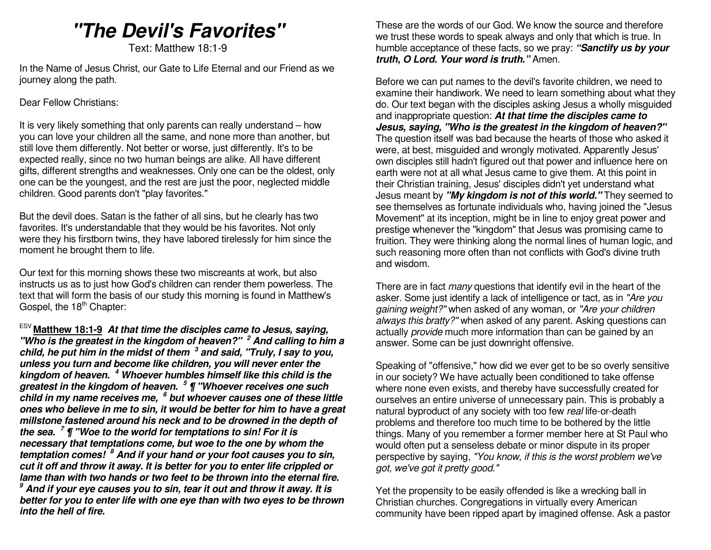# **"The Devil's Favorites"**

Text: Matthew 18:1-9

In the Name of Jesus Christ, our Gate to Life Eternal and our Friend as we journey along the path.

#### Dear Fellow Christians:

It is very likely something that only parents can really understand – how you can love your children all the same, and none more than another, but still love them differently. Not better or worse, just differently. It's to be expected really, since no two human beings are alike. All have different gifts, different strengths and weaknesses. Only one can be the oldest, only one can be the youngest, and the rest are just the poor, neglected middle children. Good parents don't "play favorites."

But the devil does. Satan is the father of all sins, but he clearly has two favorites. It's understandable that they would be his favorites. Not only were they his firstborn twins, they have labored tirelessly for him since the moment he brought them to life.

Our text for this morning shows these two miscreants at work, but also instructs us as to just how God's children can render them powerless. The text that will form the basis of our study this morning is found in Matthew's Gospel, the  $18<sup>th</sup>$  Chapter:

ESV **Matthew 18:1-9** At that time the disciples came to Jesus, saying, **"Who is the greatest in the kingdom of heaven?" <sup>2</sup> And calling to him a child, he put him in the midst of them <sup>3</sup> and said, "Truly, I say to you, unless you turn and become like children, you will never enter the kingdom of heaven. <sup>4</sup> Whoever humbles himself like this child is the greatest in the kingdom of heaven. <sup>5</sup> ¶ "Whoever receives one such child in my name receives me, <sup>6</sup> but whoever causes one of these little ones who believe in me to sin, it would be better for him to have a great millstone fastened around his neck and to be drowned in the depth of the sea. <sup>7</sup> ¶ "Woe to the world for temptations to sin! For it is necessary that temptations come, but woe to the one by whom the temptation comes! <sup>8</sup> And if your hand or your foot causes you to sin, cut it off and throw it away. It is better for you to enter life crippled or lame than with two hands or two feet to be thrown into the eternal fire. <sup>9</sup> And if your eye causes you to sin, tear it out and throw it away. It is better for you to enter life with one eye than with two eyes to be thrown into the hell of fire.** 

These are the words of our God. We know the source and therefore we trust these words to speak always and only that which is true. In humble acceptance of these facts, so we pray: **"Sanctify us by your truth, O Lord. Your word is truth."** Amen.

Before we can put names to the devil's favorite children, we need to examine their handiwork. We need to learn something about what they do. Our text began with the disciples asking Jesus a wholly misguided and inappropriate question: **At that time the disciples came to Jesus, saying, "Who is the greatest in the kingdom of heaven?"** The question itself was bad because the hearts of those who asked it were, at best, misguided and wrongly motivated. Apparently Jesus' own disciples still hadn't figured out that power and influence here on earth were not at all what Jesus came to give them. At this point in their Christian training, Jesus' disciples didn't yet understand what Jesus meant by **"My kingdom is not of this world."** They seemed to see themselves as fortunate individuals who, having joined the "Jesus Movement" at its inception, might be in line to enjoy great power and prestige whenever the "kingdom" that Jesus was promising came to fruition. They were thinking along the normal lines of human logic, and such reasoning more often than not conflicts with God's divine truth and wisdom.

There are in fact *many* questions that identify evil in the heart of the asker. Some just identify a lack of intelligence or tact, as in "Are you gaining weight?" when asked of any woman, or "Are your children always this bratty?" when asked of any parent. Asking questions can actually provide much more information than can be gained by an answer. Some can be just downright offensive.

Speaking of "offensive," how did we ever get to be so overly sensitive in our society? We have actually been conditioned to take offense where none even exists, and thereby have successfully created for ourselves an entire universe of unnecessary pain. This is probably a natural byproduct of any society with too few real life-or-death problems and therefore too much time to be bothered by the little things. Many of you remember a former member here at St Paul who would often put a senseless debate or minor dispute in its proper perspective by saying, "You know, if this is the worst problem we've got, we've got it pretty good."

Yet the propensity to be easily offended is like a wrecking ball in Christian churches. Congregations in virtually every American community have been ripped apart by imagined offense. Ask a pastor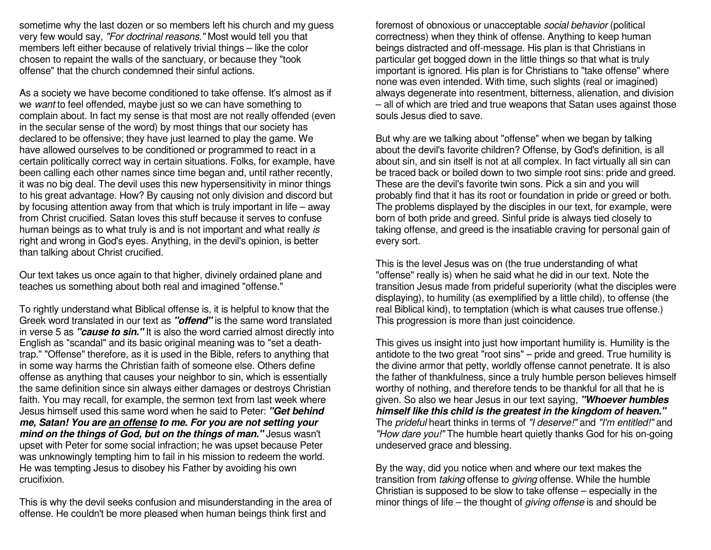sometime why the last dozen or so members left his church and my guess very few would say, "For doctrinal reasons." Most would tell you that members left either because of relatively trivial things – like the color chosen to repaint the walls of the sanctuary, or because they "took offense" that the church condemned their sinful actions.

As a society we have become conditioned to take offense. It's almost as if we want to feel offended, maybe just so we can have something to complain about. In fact my sense is that most are not really offended (even in the secular sense of the word) by most things that our society has declared to be offensive; they have just learned to play the game. We have allowed ourselves to be conditioned or programmed to react in a certain politically correct way in certain situations. Folks, for example, have been calling each other names since time began and, until rather recently, it was no big deal. The devil uses this new hypersensitivity in minor things to his great advantage. How? By causing not only division and discord but by focusing attention away from that which is truly important in life – away from Christ crucified. Satan loves this stuff because it serves to confuse human beings as to what truly is and is not important and what really is right and wrong in God's eyes. Anything, in the devil's opinion, is better than talking about Christ crucified.

Our text takes us once again to that higher, divinely ordained plane and teaches us something about both real and imagined "offense."

To rightly understand what Biblical offense is, it is helpful to know that the Greek word translated in our text as **"offend"** is the same word translated in verse 5 as **"cause to sin."** It is also the word carried almost directly into English as "scandal" and its basic original meaning was to "set a deathtrap." "Offense" therefore, as it is used in the Bible, refers to anything that in some way harms the Christian faith of someone else. Others define offense as anything that causes your neighbor to sin, which is essentially the same definition since sin always either damages or destroys Christian faith. You may recall, for example, the sermon text from last week where Jesus himself used this same word when he said to Peter: **"Get behind me, Satan! You are an offense to me. For you are not setting your mind on the things of God, but on the things of man."** Jesus wasn't upset with Peter for some social infraction; he was upset because Peter was unknowingly tempting him to fail in his mission to redeem the world. He was tempting Jesus to disobey his Father by avoiding his own crucifixion.

This is why the devil seeks confusion and misunderstanding in the area of offense. He couldn't be more pleased when human beings think first and

foremost of obnoxious or unacceptable social behavior (political correctness) when they think of offense. Anything to keep human beings distracted and off-message. His plan is that Christians in particular get bogged down in the little things so that what is truly important is ignored. His plan is for Christians to "take offense" where none was even intended. With time, such slights (real or imagined) always degenerate into resentment, bitterness, alienation, and division – all of which are tried and true weapons that Satan uses against those souls Jesus died to save.

But why are we talking about "offense" when we began by talking about the devil's favorite children? Offense, by God's definition, is all about sin, and sin itself is not at all complex. In fact virtually all sin can be traced back or boiled down to two simple root sins: pride and greed. These are the devil's favorite twin sons. Pick a sin and you will probably find that it has its root or foundation in pride or greed or both. The problems displayed by the disciples in our text, for example, were born of both pride and greed. Sinful pride is always tied closely to taking offense, and greed is the insatiable craving for personal gain of every sort.

This is the level Jesus was on (the true understanding of what "offense" really is) when he said what he did in our text. Note the transition Jesus made from prideful superiority (what the disciples were displaying), to humility (as exemplified by a little child), to offense (the real Biblical kind), to temptation (which is what causes true offense.) This progression is more than just coincidence.

This gives us insight into just how important humility is. Humility is the antidote to the two great "root sins" – pride and greed. True humility is the divine armor that petty, worldly offense cannot penetrate. It is also the father of thankfulness, since a truly humble person believes himself worthy of nothing, and therefore tends to be thankful for all that he is given. So also we hear Jesus in our text saying, **"Whoever humbles himself like this child is the greatest in the kingdom of heaven."**The *prideful* heart thinks in terms of *"I deserve!"* and *"I'm entitled!"* and "How dare you!" The humble heart quietly thanks God for his on-going undeserved grace and blessing.

By the way, did you notice when and where our text makes the transition from taking offense to giving offense. While the humble Christian is supposed to be slow to take offense – especially in the minor things of life – the thought of *giving offense* is and should be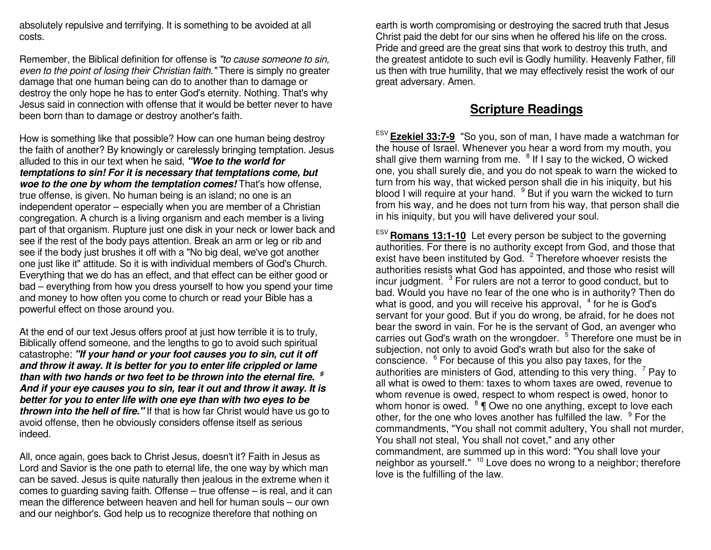absolutely repulsive and terrifying. It is something to be avoided at all costs.

Remember, the Biblical definition for offense is "to cause someone to sin, even to the point of losing their Christian faith." There is simply no greater damage that one human being can do to another than to damage or destroy the only hope he has to enter God's eternity. Nothing. That's why Jesus said in connection with offense that it would be better never to have been born than to damage or destroy another's faith.

How is something like that possible? How can one human being destroy the faith of another? By knowingly or carelessly bringing temptation. Jesus alluded to this in our text when he said, **"Woe to the world for temptations to sin! For it is necessary that temptations come, but woe to the one by whom the temptation comes!** That's how offense, true offense, is given. No human being is an island; no one is an independent operator – especially when you are member of a Christian congregation. A church is a living organism and each member is a living part of that organism. Rupture just one disk in your neck or lower back and see if the rest of the body pays attention. Break an arm or leg or rib and see if the body just brushes it off with a "No big deal, we've got another one just like it" attitude. So it is with individual members of God's Church. Everything that we do has an effect, and that effect can be either good or bad – everything from how you dress yourself to how you spend your time and money to how often you come to church or read your Bible has a powerful effect on those around you.

At the end of our text Jesus offers proof at just how terrible it is to truly, Biblically offend someone, and the lengths to go to avoid such spiritual catastrophe: **"If your hand or your foot causes you to sin, cut it off and throw it away. It is better for you to enter life crippled or lame than with two hands or two feet to be thrown into the eternal fire. 9 And if your eye causes you to sin, tear it out and throw it away. It is better for you to enter life with one eye than with two eyes to be thrown into the hell of fire."** If that is how far Christ would have us go to avoid offense, then he obviously considers offense itself as serious indeed.

All, once again, goes back to Christ Jesus, doesn't it? Faith in Jesus as Lord and Savior is the one path to eternal life, the one way by which man can be saved. Jesus is quite naturally then jealous in the extreme when it comes to guarding saving faith. Offense – true offense – is real, and it can mean the difference between heaven and hell for human souls – our own and our neighbor's. God help us to recognize therefore that nothing on

earth is worth compromising or destroying the sacred truth that Jesus Christ paid the debt for our sins when he offered his life on the cross. Pride and greed are the great sins that work to destroy this truth, and the greatest antidote to such evil is Godly humility. Heavenly Father, fill us then with true humility, that we may effectively resist the work of our great adversary. Amen.

## **Scripture Readings**

ESV **Ezekiel 33:7-9** "So you, son of man, I have made a watchman for the house of Israel. Whenever you hear a word from my mouth, you shall give them warning from me.  $8$  If I say to the wicked, O wicked one, you shall surely die, and you do not speak to warn the wicked to turn from his way, that wicked person shall die in his iniquity, but his blood I will require at your hand. <sup>9</sup> But if you warn the wicked to turn from his way, and he does not turn from his way, that person shall die in his iniquity, but you will have delivered your soul.

ESV **Romans 13:1-10** Let every person be subject to the governing authorities. For there is no authority except from God, and those that exist have been instituted by God. <sup>2</sup> Therefore whoever resists the authorities resists what God has appointed, and those who resist will incur judgment.  $3$  For rulers are not a terror to good conduct, but to bad. Would you have no fear of the one who is in authority? Then do what is good, and you will receive his approval,  $4$  for he is God's servant for your good. But if you do wrong, be afraid, for he does not bear the sword in vain. For he is the servant of God, an avenger who carries out God's wrath on the wrongdoer. <sup>5</sup> Therefore one must be in subjection, not only to avoid God's wrath but also for the sake of conscience. <sup>6</sup> For because of this you also pay taxes, for the authorities are ministers of God, attending to this very thing.  $\mathrm{^{7}}$  Pay to all what is owed to them: taxes to whom taxes are owed, revenue to whom revenue is owed, respect to whom respect is owed, honor to whom honor is owed.  $8 \P$  Owe no one anything, except to love each other, for the one who loves another has fulfilled the law. <sup>9</sup> For the commandments, "You shall not commit adultery, You shall not murder, You shall not steal, You shall not covet," and any other commandment, are summed up in this word: "You shall love your neighbor as yourself." <sup>10</sup> Love does no wrong to a neighbor; therefore love is the fulfilling of the law.